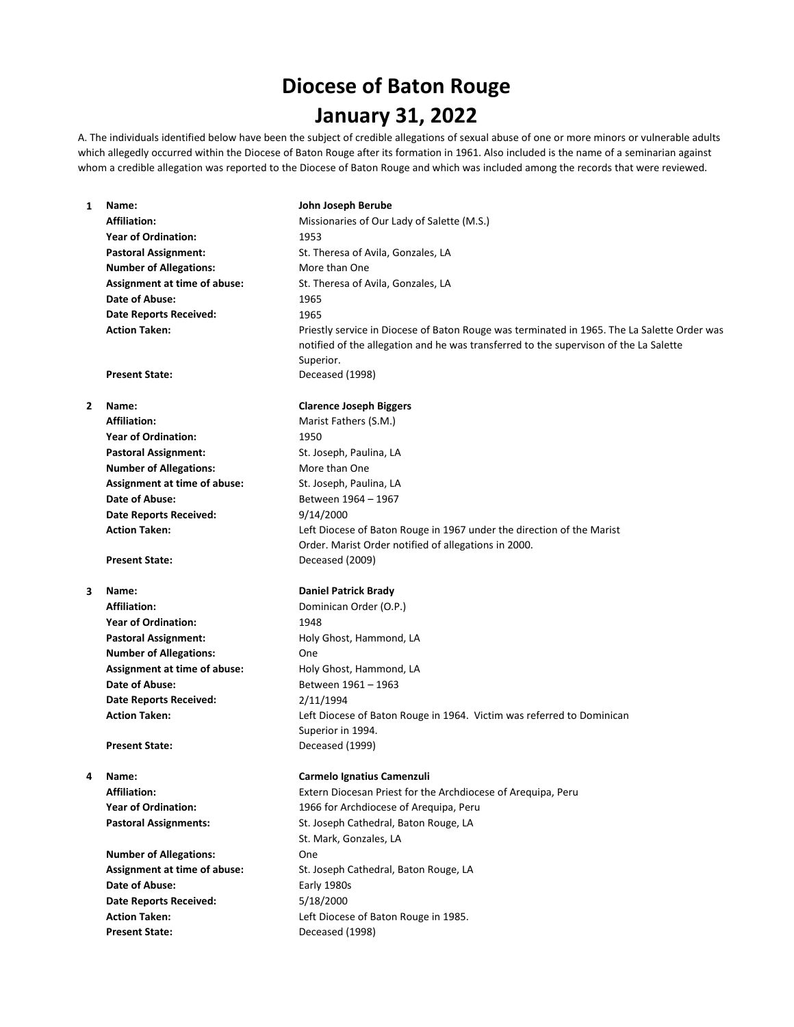# **Diocese of Baton Rouge January 31, 2022**

A. The individuals identified below have been the subject of credible allegations of sexual abuse of one or more minors or vulnerable adults which allegedly occurred within the Diocese of Baton Rouge after its formation in 1961. Also included is the name of a seminarian against whom a credible allegation was reported to the Diocese of Baton Rouge and which was included among the records that were reviewed.

# **1 Name: John Joseph Berube** Affiliation: Missionaries of Our Lady of Salette (M.S.) **Year of Ordination:** 1953 Pastoral Assignment: St. Theresa of Avila, Gonzales, LA **Number of Allegations:** More than One Assignment at time of abuse: St. Theresa of Avila, Gonzales, LA **Date of Abuse:** 1965 **Date Reports Received:** 1965 **Action Taken:** Priestly service in Diocese of Baton Rouge was terminated in 1965. The La Salette Order was notified of the allegation and he was transferred to the supervison of the La Salette Superior. **Present State:** Deceased (1998) **2 Name: Clarence Joseph Biggers** Affiliation: Marist Fathers (S.M.) **Year of Ordination:** 1950 Pastoral Assignment: St. Joseph, Paulina, LA **Number of Allegations:** More than One **Assignment at time of abuse:** St. Joseph, Paulina, LA Date of Abuse: Between 1964 – 1967 **Date Reports Received:** 9/14/2000 **Action Taken:** Left Diocese of Baton Rouge in 1967 under the direction of the Marist Order. Marist Order notified of allegations in 2000. **Present State:** Deceased (2009) **3 Name: Daniel Patrick Brady** Affiliation: Dominican Order (O.P.) **Year of Ordination:** 1948 Pastoral Assignment: Holy Ghost, Hammond, LA **Number of Allegations:** One Assignment at time of abuse: Holy Ghost, Hammond, LA Date of Abuse: Between 1961 – 1963 **Date Reports Received:** 2/11/1994 **Action Taken:** Left Diocese of Baton Rouge in 1964. Victim was referred to Dominican Superior in 1994. **Present State:** Deceased (1999) **4 Name: Carmelo Ignatius Camenzuli Affiliation:** Extern Diocesan Priest for the Archdiocese of Arequipa, Peru **Year of Ordination:** 1966 for Archdiocese of Arequipa, Peru Pastoral Assignments: St. Joseph Cathedral, Baton Rouge, LA St. Mark, Gonzales, LA **Number of Allegations:** One Assignment at time of abuse: St. Joseph Cathedral, Baton Rouge, LA **Date of Abuse:** Early 1980s **Date Reports Received:** 5/18/2000 **Action Taken:** Left Diocese of Baton Rouge in 1985.

**Present State:** Deceased (1998)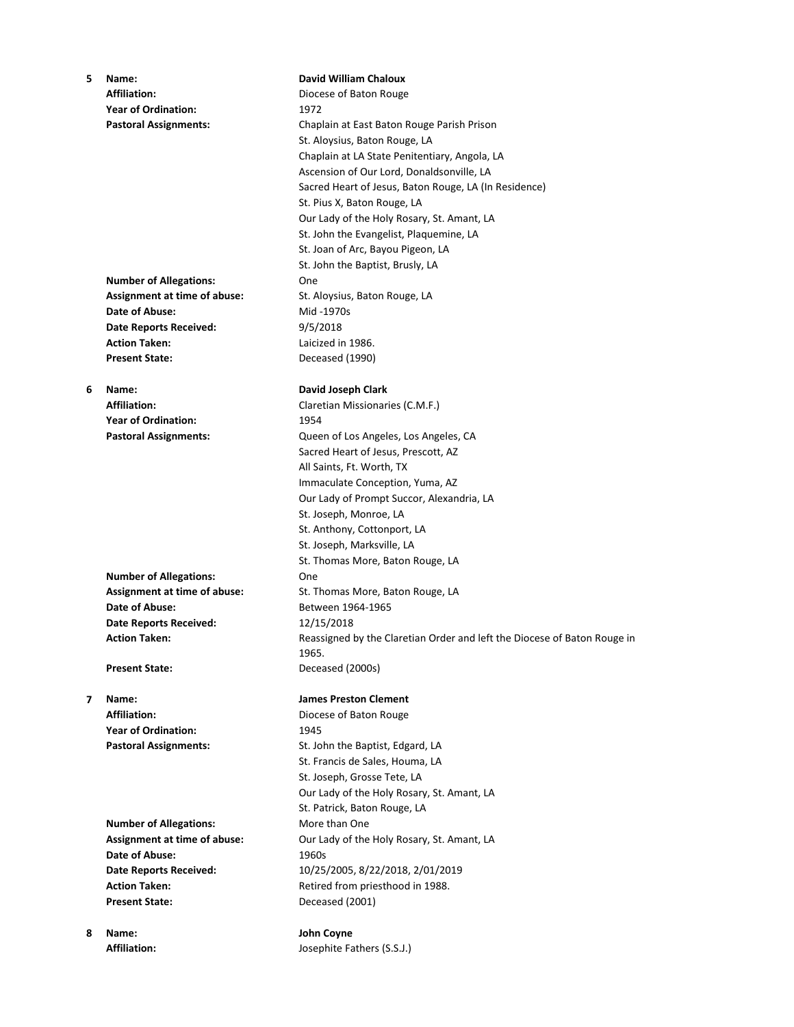**5 Name: David William Chaloux** Affiliation: **Affiliation:** Diocese of Baton Rouge **Year of Ordination:** 1972 **Pastoral Assignments:** Chaplain at East Baton Rouge Parish Prison St. Aloysius, Baton Rouge, LA Chaplain at LA State Penitentiary, Angola, LA Ascension of Our Lord, Donaldsonville, LA Sacred Heart of Jesus, Baton Rouge, LA (In Residence) St. Pius X, Baton Rouge, LA Our Lady of the Holy Rosary, St. Amant, LA St. John the Evangelist, Plaquemine, LA St. Joan of Arc, Bayou Pigeon, LA St. John the Baptist, Brusly, LA **Number of Allegations:** One Assignment at time of abuse: St. Aloysius, Baton Rouge, LA **Date of Abuse:** Mid -1970s **Date Reports Received:** 9/5/2018 **Action Taken:** Laicized in 1986. **Present State:** Deceased (1990) **6 Name: David Joseph Clark Affiliation:** Claretian Missionaries (C.M.F.) **Year of Ordination:** 1954 **Pastoral Assignments:** Queen of Los Angeles, Los Angeles, CA Sacred Heart of Jesus, Prescott, AZ All Saints, Ft. Worth, TX Immaculate Conception, Yuma, AZ Our Lady of Prompt Succor, Alexandria, LA St. Joseph, Monroe, LA St. Anthony, Cottonport, LA St. Joseph, Marksville, LA St. Thomas More, Baton Rouge, LA **Number of Allegations:** One Assignment at time of abuse: St. Thomas More, Baton Rouge, LA **Date of Abuse:** Between 1964-1965 **Date Reports Received:** 12/15/2018 **Action Taken:** Reassigned by the Claretian Order and left the Diocese of Baton Rouge in 1965. **Present State:** Deceased (2000s) **7 Name: James Preston Clement** Affiliation: Diocese of Baton Rouge **Year of Ordination:** 1945 Pastoral Assignments: St. John the Baptist, Edgard, LA St. Francis de Sales, Houma, LA St. Joseph, Grosse Tete, LA Our Lady of the Holy Rosary, St. Amant, LA St. Patrick, Baton Rouge, LA **Number of Allegations:** More than One **Assignment at time of abuse:** Our Lady of the Holy Rosary, St. Amant, LA

**Date of Abuse:** 1960s **Date Reports Received:** 10/25/2005, 8/22/2018, 2/01/2019 Action Taken: Retired from priesthood in 1988. Present State: Deceased (2001)

Affiliation: **Affiliation:** Josephite Fathers (S.S.J.)

**8 Name: John Coyne**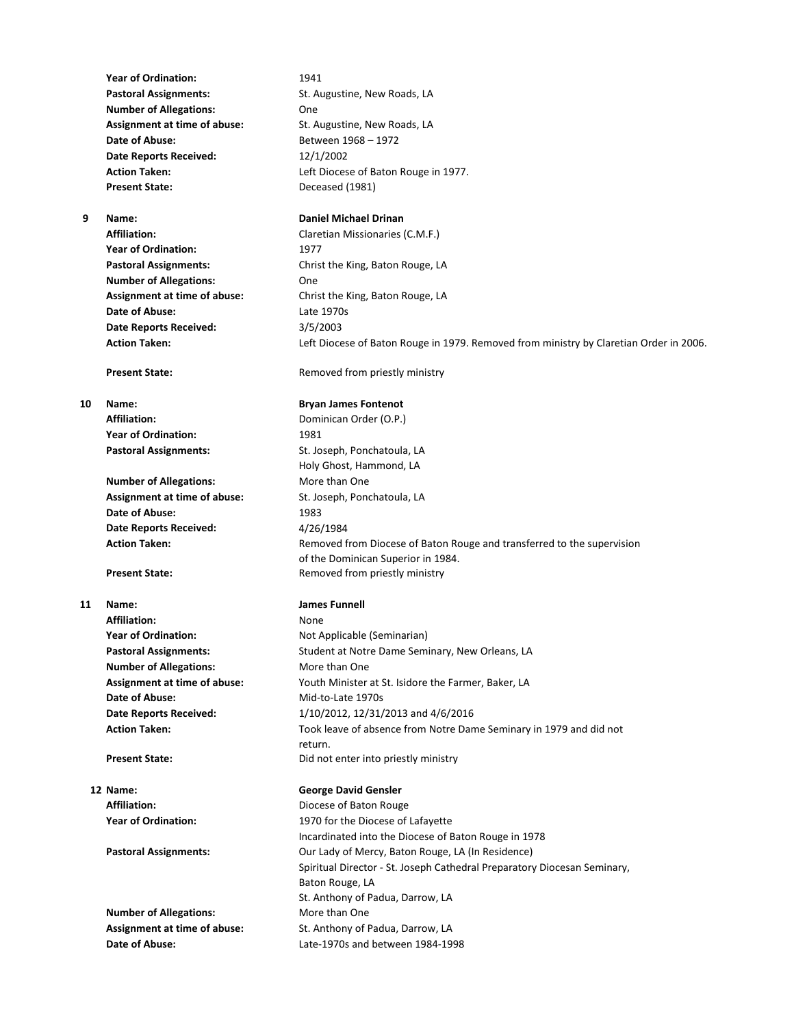**Year of Ordination:** 1941 Pastoral Assignments: St. Augustine, New Roads, LA **Number of Allegations:** One **Assignment at time of abuse:** St. Augustine, New Roads, LA **Date of Abuse:** Between 1968 – 1972 **Date Reports Received:** 12/1/2002 **Present State:** Deceased (1981)

**Year of Ordination:** 1977 **Number of Allegations:** One **Date of Abuse:** Late 1970s **Date Reports Received:** 3/5/2003

**Year of Ordination:** 1981

**Number of Allegations:** More than One **Assignment at time of abuse:** St. Joseph, Ponchatoula, LA **Date of Abuse:** 1983 **Date Reports Received:** 4/26/1984

Affiliation: None **Year of Ordination:** Not Applicable (Seminarian) **Number of Allegations:** More than One **Date of Abuse:** Mid-to-Late 1970s

**Number of Allegations:** More than One

**Action Taken:** Left Diocese of Baton Rouge in 1977.

### **9 Name: Daniel Michael Drinan**

**Affiliation:** Claretian Missionaries (C.M.F.) **Pastoral Assignments:** Christ the King, Baton Rouge, LA **Assignment at time of abuse:** Christ the King, Baton Rouge, LA **Action Taken:** Left Diocese of Baton Rouge in 1979. Removed from ministry by Claretian Order in 2006.

**Present State:** Removed from priestly ministry

### **10 Name: Bryan James Fontenot**

Affiliation: Dominican Order (O.P.) Pastoral Assignments: St. Joseph, Ponchatoula, LA Holy Ghost, Hammond, LA Action Taken: Removed from Diocese of Baton Rouge and transferred to the supervision of the Dominican Superior in 1984. **Present State:** Removed from priestly ministry

### **11 Name: James Funnell**

Pastoral Assignments: Student at Notre Dame Seminary, New Orleans, LA **Assignment at time of abuse:** Youth Minister at St. Isidore the Farmer, Baker, LA **Date Reports Received:** 1/10/2012, 12/31/2013 and 4/6/2016 **Action Taken:** Took leave of absence from Notre Dame Seminary in 1979 and did not return. **Present State:** Did not enter into priestly ministry

# **12 Name: George David Gensler**

Affiliation: **Affiliation:** Diocese of Baton Rouge **Year of Ordination:** 1970 for the Diocese of Lafayette Incardinated into the Diocese of Baton Rouge in 1978 **Pastoral Assignments: Our Lady of Mercy, Baton Rouge, LA (In Residence)** Spiritual Director - St. Joseph Cathedral Preparatory Diocesan Seminary, Baton Rouge, LA St. Anthony of Padua, Darrow, LA Assignment at time of abuse: St. Anthony of Padua, Darrow, LA **Date of Abuse:** Late-1970s and between 1984-1998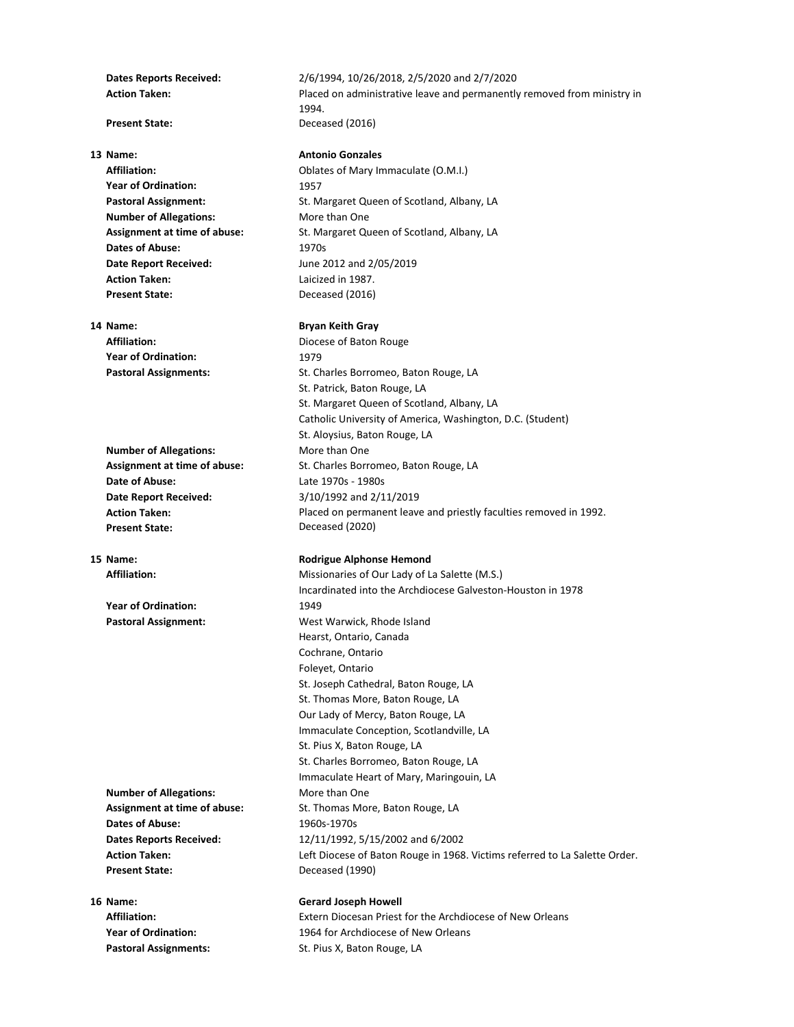**Year of Ordination:** 1957 **Number of Allegations:** More than One **Dates of Abuse:** 1970s **Date Report Received:** June 2012 and 2/05/2019 **Action Taken:** Laicized in 1987. **Present State:** Deceased (2016)

**Year of Ordination:** 1979

**Date of Abuse:** Late 1970s - 1980s **Date Report Received: Action Taken: Present State:**

**Year of Ordination:** 1949

**Number of Allegations:** More than One **Dates of Abuse:** 1960s-1970s **Present State:** Deceased (1990)

**Dates Reports Received:** 2/6/1994, 10/26/2018, 2/5/2020 and 2/7/2020 **Action Taken:** Placed on administrative leave and permanently removed from ministry in 1994. **Present State:** Deceased (2016)

# **13 Name: Antonio Gonzales**

**Affiliation:** Oblates of Mary Immaculate (O.M.I.) Pastoral Assignment: St. Margaret Queen of Scotland, Albany, LA **Assignment at time of abuse:** St. Margaret Queen of Scotland, Albany, LA

### **14 Name: Bryan Keith Gray**

Affiliation: **Affiliation: Diocese of Baton Rouge Pastoral Assignments:** St. Charles Borromeo, Baton Rouge, LA St. Patrick, Baton Rouge, LA St. Margaret Queen of Scotland, Albany, LA Catholic University of America, Washington, D.C. (Student) St. Aloysius, Baton Rouge, LA **Number of Allegations:** More than One Assignment at time of abuse: St. Charles Borromeo, Baton Rouge, LA 3/10/1992 and 2/11/2019 Placed on permanent leave and priestly faculties removed in 1992. Deceased (2020)

### **15 Name: Rodrigue Alphonse Hemond**

Affiliation: Missionaries of Our Lady of La Salette (M.S.) Incardinated into the Archdiocese Galveston-Houston in 1978 Pastoral Assignment: West Warwick, Rhode Island Hearst, Ontario, Canada Cochrane, Ontario Foleyet, Ontario St. Joseph Cathedral, Baton Rouge, LA St. Thomas More, Baton Rouge, LA Our Lady of Mercy, Baton Rouge, LA Immaculate Conception, Scotlandville, LA St. Pius X, Baton Rouge, LA St. Charles Borromeo, Baton Rouge, LA Immaculate Heart of Mary, Maringouin, LA Assignment at time of abuse: St. Thomas More, Baton Rouge, LA **Dates Reports Received:** 12/11/1992, 5/15/2002 and 6/2002 **Action Taken:** Left Diocese of Baton Rouge in 1968. Victims referred to La Salette Order.

### **16 Name: Gerard Joseph Howell**

**Affiliation:** Extern Diocesan Priest for the Archdiocese of New Orleans **Year of Ordination:** 1964 for Archdiocese of New Orleans Pastoral Assignments: St. Pius X, Baton Rouge, LA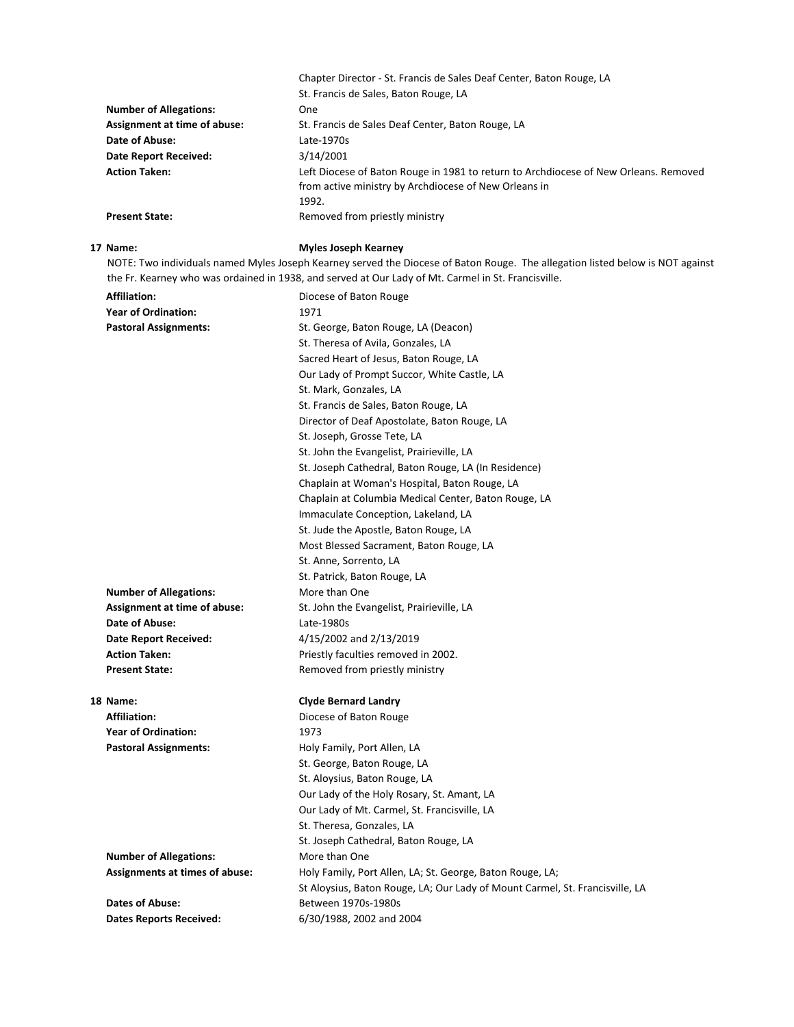|                               | Chapter Director - St. Francis de Sales Deaf Center, Baton Rouge, LA                 |
|-------------------------------|--------------------------------------------------------------------------------------|
|                               | St. Francis de Sales, Baton Rouge, LA                                                |
| <b>Number of Allegations:</b> | One.                                                                                 |
| Assignment at time of abuse:  | St. Francis de Sales Deaf Center, Baton Rouge, LA                                    |
| Date of Abuse:                | Late-1970s                                                                           |
| Date Report Received:         | 3/14/2001                                                                            |
| <b>Action Taken:</b>          | Left Diocese of Baton Rouge in 1981 to return to Archdiocese of New Orleans. Removed |
|                               | from active ministry by Archdiocese of New Orleans in                                |
|                               | 1992.                                                                                |
| <b>Present State:</b>         | Removed from priestly ministry                                                       |
|                               |                                                                                      |

# **17 Name: Myles Joseph Kearney**

NOTE: Two individuals named Myles Joseph Kearney served the Diocese of Baton Rouge. The allegation listed below is NOT against the Fr. Kearney who was ordained in 1938, and served at Our Lady of Mt. Carmel in St. Francisville.

| <b>Affiliation:</b>                   | Diocese of Baton Rouge                                                       |
|---------------------------------------|------------------------------------------------------------------------------|
| <b>Year of Ordination:</b>            | 1971                                                                         |
| <b>Pastoral Assignments:</b>          | St. George, Baton Rouge, LA (Deacon)                                         |
|                                       | St. Theresa of Avila, Gonzales, LA                                           |
|                                       | Sacred Heart of Jesus, Baton Rouge, LA                                       |
|                                       | Our Lady of Prompt Succor, White Castle, LA                                  |
|                                       | St. Mark, Gonzales, LA                                                       |
|                                       | St. Francis de Sales, Baton Rouge, LA                                        |
|                                       | Director of Deaf Apostolate, Baton Rouge, LA                                 |
|                                       | St. Joseph, Grosse Tete, LA                                                  |
|                                       | St. John the Evangelist, Prairieville, LA                                    |
|                                       | St. Joseph Cathedral, Baton Rouge, LA (In Residence)                         |
|                                       | Chaplain at Woman's Hospital, Baton Rouge, LA                                |
|                                       | Chaplain at Columbia Medical Center, Baton Rouge, LA                         |
|                                       | Immaculate Conception, Lakeland, LA                                          |
|                                       | St. Jude the Apostle, Baton Rouge, LA                                        |
|                                       | Most Blessed Sacrament, Baton Rouge, LA                                      |
|                                       | St. Anne, Sorrento, LA                                                       |
|                                       | St. Patrick, Baton Rouge, LA                                                 |
| <b>Number of Allegations:</b>         | More than One                                                                |
| Assignment at time of abuse:          | St. John the Evangelist, Prairieville, LA                                    |
| Date of Abuse:                        | Late-1980s                                                                   |
| <b>Date Report Received:</b>          | 4/15/2002 and 2/13/2019                                                      |
| <b>Action Taken:</b>                  | Priestly faculties removed in 2002.                                          |
| <b>Present State:</b>                 | Removed from priestly ministry                                               |
| 18 Name:                              | <b>Clyde Bernard Landry</b>                                                  |
| <b>Affiliation:</b>                   | Diocese of Baton Rouge                                                       |
| <b>Year of Ordination:</b>            | 1973                                                                         |
| <b>Pastoral Assignments:</b>          | Holy Family, Port Allen, LA                                                  |
|                                       | St. George, Baton Rouge, LA                                                  |
|                                       | St. Aloysius, Baton Rouge, LA                                                |
|                                       | Our Lady of the Holy Rosary, St. Amant, LA                                   |
|                                       | Our Lady of Mt. Carmel, St. Francisville, LA                                 |
|                                       | St. Theresa, Gonzales, LA                                                    |
|                                       | St. Joseph Cathedral, Baton Rouge, LA                                        |
| <b>Number of Allegations:</b>         | More than One                                                                |
| <b>Assignments at times of abuse:</b> | Holy Family, Port Allen, LA; St. George, Baton Rouge, LA;                    |
|                                       | St Aloysius, Baton Rouge, LA; Our Lady of Mount Carmel, St. Francisville, LA |
| <b>Dates of Abuse:</b>                | Between 1970s-1980s                                                          |
| <b>Dates Reports Received:</b>        | 6/30/1988, 2002 and 2004                                                     |
|                                       |                                                                              |
|                                       |                                                                              |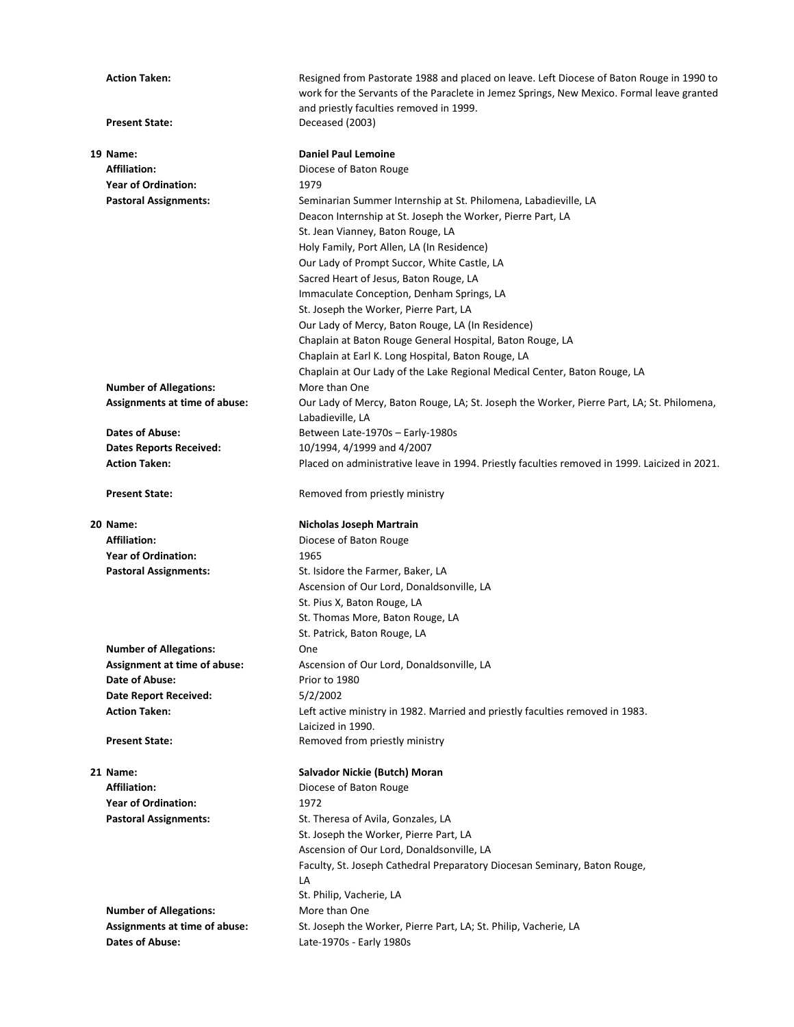| <b>Action Taken:</b>                                    | Resigned from Pastorate 1988 and placed on leave. Left Diocese of Baton Rouge in 1990 to<br>work for the Servants of the Paraclete in Jemez Springs, New Mexico. Formal leave granted<br>and priestly faculties removed in 1999. |
|---------------------------------------------------------|----------------------------------------------------------------------------------------------------------------------------------------------------------------------------------------------------------------------------------|
| <b>Present State:</b>                                   | Deceased (2003)                                                                                                                                                                                                                  |
| 19 Name:                                                | <b>Daniel Paul Lemoine</b>                                                                                                                                                                                                       |
| <b>Affiliation:</b>                                     | Diocese of Baton Rouge                                                                                                                                                                                                           |
| <b>Year of Ordination:</b>                              | 1979                                                                                                                                                                                                                             |
| <b>Pastoral Assignments:</b>                            | Seminarian Summer Internship at St. Philomena, Labadieville, LA                                                                                                                                                                  |
|                                                         | Deacon Internship at St. Joseph the Worker, Pierre Part, LA                                                                                                                                                                      |
|                                                         | St. Jean Vianney, Baton Rouge, LA<br>Holy Family, Port Allen, LA (In Residence)                                                                                                                                                  |
|                                                         | Our Lady of Prompt Succor, White Castle, LA                                                                                                                                                                                      |
|                                                         | Sacred Heart of Jesus, Baton Rouge, LA                                                                                                                                                                                           |
|                                                         | Immaculate Conception, Denham Springs, LA                                                                                                                                                                                        |
|                                                         | St. Joseph the Worker, Pierre Part, LA                                                                                                                                                                                           |
|                                                         | Our Lady of Mercy, Baton Rouge, LA (In Residence)                                                                                                                                                                                |
|                                                         | Chaplain at Baton Rouge General Hospital, Baton Rouge, LA                                                                                                                                                                        |
|                                                         | Chaplain at Earl K. Long Hospital, Baton Rouge, LA                                                                                                                                                                               |
|                                                         | Chaplain at Our Lady of the Lake Regional Medical Center, Baton Rouge, LA                                                                                                                                                        |
| <b>Number of Allegations:</b>                           | More than One                                                                                                                                                                                                                    |
| Assignments at time of abuse:                           | Our Lady of Mercy, Baton Rouge, LA; St. Joseph the Worker, Pierre Part, LA; St. Philomena,<br>Labadieville, LA                                                                                                                   |
| <b>Dates of Abuse:</b>                                  | Between Late-1970s - Early-1980s                                                                                                                                                                                                 |
| <b>Dates Reports Received:</b>                          | 10/1994, 4/1999 and 4/2007                                                                                                                                                                                                       |
| <b>Action Taken:</b>                                    | Placed on administrative leave in 1994. Priestly faculties removed in 1999. Laicized in 2021.                                                                                                                                    |
| <b>Present State:</b>                                   | Removed from priestly ministry                                                                                                                                                                                                   |
| 20 Name:                                                | Nicholas Joseph Martrain                                                                                                                                                                                                         |
|                                                         |                                                                                                                                                                                                                                  |
| <b>Affiliation:</b>                                     | Diocese of Baton Rouge                                                                                                                                                                                                           |
| <b>Year of Ordination:</b>                              | 1965                                                                                                                                                                                                                             |
| <b>Pastoral Assignments:</b>                            | St. Isidore the Farmer, Baker, LA                                                                                                                                                                                                |
|                                                         | Ascension of Our Lord, Donaldsonville, LA                                                                                                                                                                                        |
|                                                         | St. Pius X, Baton Rouge, LA                                                                                                                                                                                                      |
|                                                         | St. Thomas More, Baton Rouge, LA                                                                                                                                                                                                 |
|                                                         | St. Patrick, Baton Rouge, LA                                                                                                                                                                                                     |
| <b>Number of Allegations:</b>                           | One                                                                                                                                                                                                                              |
| Assignment at time of abuse:<br>Date of Abuse:          | Ascension of Our Lord, Donaldsonville, LA<br>Prior to 1980                                                                                                                                                                       |
| <b>Date Report Received:</b>                            | 5/2/2002                                                                                                                                                                                                                         |
| <b>Action Taken:</b>                                    | Left active ministry in 1982. Married and priestly faculties removed in 1983.                                                                                                                                                    |
|                                                         | Laicized in 1990.                                                                                                                                                                                                                |
| <b>Present State:</b>                                   | Removed from priestly ministry                                                                                                                                                                                                   |
| 21 Name:                                                | Salvador Nickie (Butch) Moran                                                                                                                                                                                                    |
| <b>Affiliation:</b>                                     | Diocese of Baton Rouge                                                                                                                                                                                                           |
| <b>Year of Ordination:</b>                              | 1972                                                                                                                                                                                                                             |
| <b>Pastoral Assignments:</b>                            | St. Theresa of Avila, Gonzales, LA                                                                                                                                                                                               |
|                                                         | St. Joseph the Worker, Pierre Part, LA                                                                                                                                                                                           |
|                                                         | Ascension of Our Lord, Donaldsonville, LA                                                                                                                                                                                        |
|                                                         | Faculty, St. Joseph Cathedral Preparatory Diocesan Seminary, Baton Rouge,                                                                                                                                                        |
|                                                         | LA                                                                                                                                                                                                                               |
|                                                         | St. Philip, Vacherie, LA                                                                                                                                                                                                         |
| <b>Number of Allegations:</b>                           | More than One                                                                                                                                                                                                                    |
| Assignments at time of abuse:<br><b>Dates of Abuse:</b> | St. Joseph the Worker, Pierre Part, LA; St. Philip, Vacherie, LA<br>Late-1970s - Early 1980s                                                                                                                                     |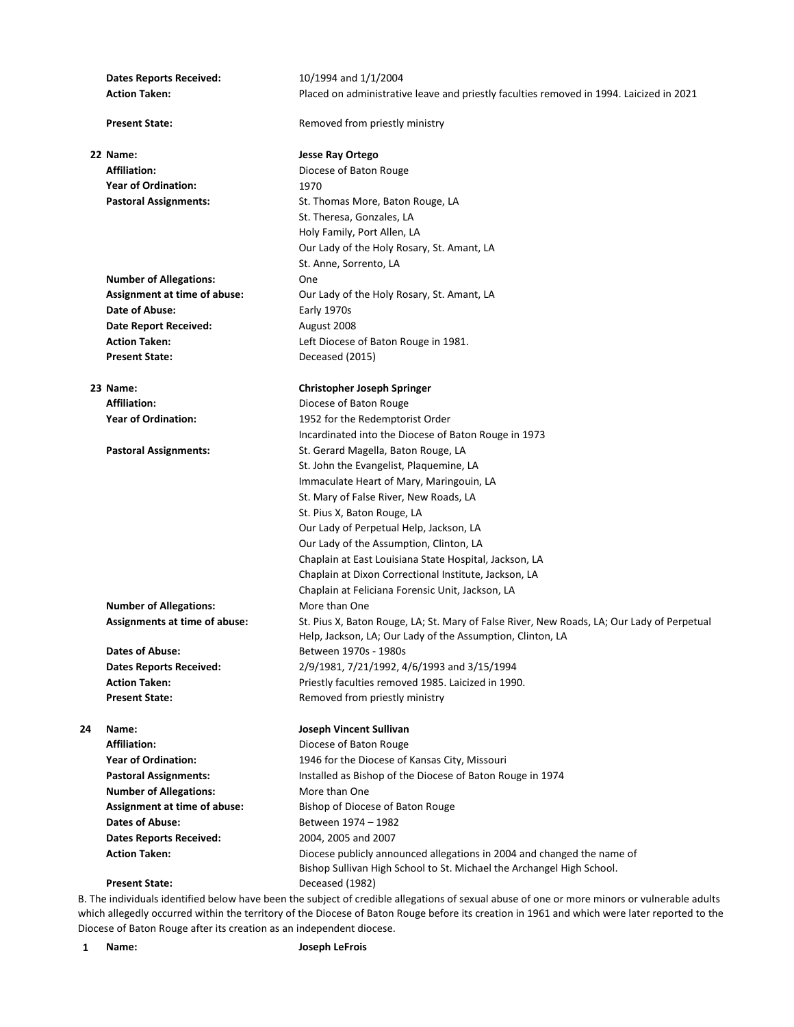**Dates Reports Received:** 10/1994 and 1/1/2004 **Action Taken:** Placed on administrative leave and priestly faculties removed in 1994. Laicized in 2021 **Present State:** Removed from priestly ministry **22 Name: Jesse Ray Ortego** Affiliation: **Affiliation: Diocese of Baton Rouge Year of Ordination:** 1970 Pastoral Assignments: St. Thomas More, Baton Rouge, LA St. Theresa, Gonzales, LA Holy Family, Port Allen, LA Our Lady of the Holy Rosary, St. Amant, LA St. Anne, Sorrento, LA **Number of Allegations:** One **Assignment at time of abuse:** Our Lady of the Holy Rosary, St. Amant, LA **Date of Abuse:** Early 1970s **Date Report Received:** August 2008 Action Taken: **Action Taken:** Left Diocese of Baton Rouge in 1981. **Present State:** Deceased (2015) **23 Name: Christopher Joseph Springer** Affiliation: **Affiliation:** Diocese of Baton Rouge **Year of Ordination:** 1952 for the Redemptorist Order Incardinated into the Diocese of Baton Rouge in 1973 Pastoral Assignments: St. Gerard Magella, Baton Rouge, LA St. John the Evangelist, Plaquemine, LA Immaculate Heart of Mary, Maringouin, LA St. Mary of False River, New Roads, LA St. Pius X, Baton Rouge, LA Our Lady of Perpetual Help, Jackson, LA Our Lady of the Assumption, Clinton, LA Chaplain at East Louisiana State Hospital, Jackson, LA Chaplain at Dixon Correctional Institute, Jackson, LA Chaplain at Feliciana Forensic Unit, Jackson, LA **Number of Allegations:** More than One **Assignments at time of abuse:** St. Pius X, Baton Rouge, LA; St. Mary of False River, New Roads, LA; Our Lady of Perpetual Help, Jackson, LA; Our Lady of the Assumption, Clinton, LA Dates of Abuse: Between 1970s - 1980s **Dates Reports Received:** 2/9/1981, 7/21/1992, 4/6/1993 and 3/15/1994 Action Taken: **Action Taken:** Priestly faculties removed 1985. Laicized in 1990. **Present State:** Removed from priestly ministry **24 Name: Joseph Vincent Sullivan** Affiliation: **Affiliation:** Diocese of Baton Rouge **Year of Ordination:** 1946 for the Diocese of Kansas City, Missouri **Pastoral Assignments:** Installed as Bishop of the Diocese of Baton Rouge in 1974 **Number of Allegations:** More than One Assignment at time of abuse: Bishop of Diocese of Baton Rouge **Dates of Abuse:** Between 1974 – 1982 **Dates Reports Received:** 2004, 2005 and 2007 **Action Taken:** Diocese publicly announced allegations in 2004 and changed the name of Bishop Sullivan High School to St. Michael the Archangel High School. **Present State:** Deceased (1982)

B. The individuals identified below have been the subject of credible allegations of sexual abuse of one or more minors or vulnerable adults which allegedly occurred within the territory of the Diocese of Baton Rouge before its creation in 1961 and which were later reported to the Diocese of Baton Rouge after its creation as an independent diocese.

**1 Name: Joseph LeFrois**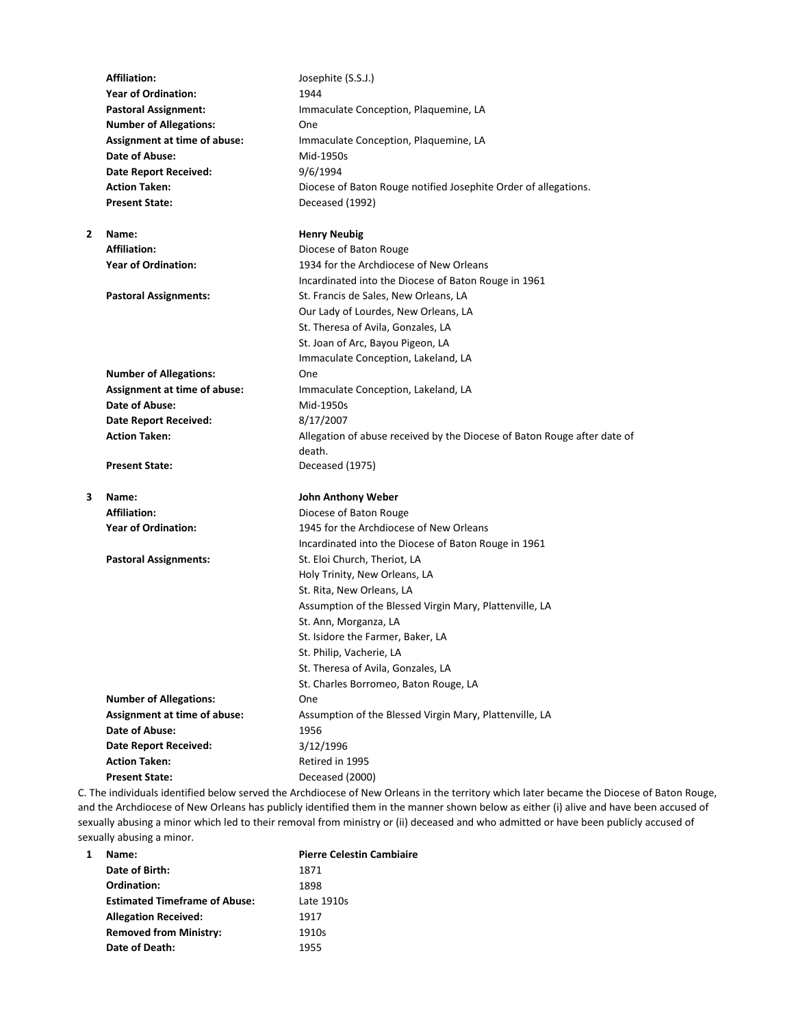|                | <b>Affiliation:</b>           | Josephite (S.S.J.)                                                                                                                 |
|----------------|-------------------------------|------------------------------------------------------------------------------------------------------------------------------------|
|                | <b>Year of Ordination:</b>    | 1944                                                                                                                               |
|                | <b>Pastoral Assignment:</b>   | Immaculate Conception, Plaquemine, LA                                                                                              |
|                | <b>Number of Allegations:</b> | One                                                                                                                                |
|                | Assignment at time of abuse:  | Immaculate Conception, Plaquemine, LA                                                                                              |
|                | Date of Abuse:                | Mid-1950s                                                                                                                          |
|                | <b>Date Report Received:</b>  | 9/6/1994                                                                                                                           |
|                | <b>Action Taken:</b>          | Diocese of Baton Rouge notified Josephite Order of allegations.                                                                    |
|                | <b>Present State:</b>         | Deceased (1992)                                                                                                                    |
| $\overline{2}$ | Name:                         | <b>Henry Neubig</b>                                                                                                                |
|                | <b>Affiliation:</b>           | Diocese of Baton Rouge                                                                                                             |
|                | <b>Year of Ordination:</b>    | 1934 for the Archdiocese of New Orleans                                                                                            |
|                |                               | Incardinated into the Diocese of Baton Rouge in 1961                                                                               |
|                | <b>Pastoral Assignments:</b>  | St. Francis de Sales, New Orleans, LA                                                                                              |
|                |                               | Our Lady of Lourdes, New Orleans, LA                                                                                               |
|                |                               | St. Theresa of Avila, Gonzales, LA                                                                                                 |
|                |                               | St. Joan of Arc, Bayou Pigeon, LA                                                                                                  |
|                |                               | Immaculate Conception, Lakeland, LA                                                                                                |
|                | <b>Number of Allegations:</b> | One                                                                                                                                |
|                | Assignment at time of abuse:  | Immaculate Conception, Lakeland, LA                                                                                                |
|                | Date of Abuse:                | Mid-1950s                                                                                                                          |
|                | <b>Date Report Received:</b>  | 8/17/2007                                                                                                                          |
|                | <b>Action Taken:</b>          | Allegation of abuse received by the Diocese of Baton Rouge after date of                                                           |
|                |                               | death.                                                                                                                             |
|                | <b>Present State:</b>         | Deceased (1975)                                                                                                                    |
| 3              | Name:                         | <b>John Anthony Weber</b>                                                                                                          |
|                | <b>Affiliation:</b>           | Diocese of Baton Rouge                                                                                                             |
|                | <b>Year of Ordination:</b>    | 1945 for the Archdiocese of New Orleans                                                                                            |
|                |                               | Incardinated into the Diocese of Baton Rouge in 1961                                                                               |
|                | <b>Pastoral Assignments:</b>  | St. Eloi Church, Theriot, LA                                                                                                       |
|                |                               | Holy Trinity, New Orleans, LA                                                                                                      |
|                |                               | St. Rita, New Orleans, LA                                                                                                          |
|                |                               | Assumption of the Blessed Virgin Mary, Plattenville, LA                                                                            |
|                |                               | St. Ann, Morganza, LA                                                                                                              |
|                |                               | St. Isidore the Farmer, Baker, LA                                                                                                  |
|                |                               | St. Philip. Vacherie. LA                                                                                                           |
|                |                               | St. Theresa of Avila, Gonzales, LA                                                                                                 |
|                |                               | St. Charles Borromeo, Baton Rouge, LA                                                                                              |
|                | <b>Number of Allegations:</b> | One                                                                                                                                |
|                | Assignment at time of abuse:  | Assumption of the Blessed Virgin Mary, Plattenville, LA                                                                            |
|                | Date of Abuse:                | 1956                                                                                                                               |
|                | <b>Date Report Received:</b>  | 3/12/1996                                                                                                                          |
|                | <b>Action Taken:</b>          | Retired in 1995                                                                                                                    |
|                | <b>Present State:</b>         | Deceased (2000)                                                                                                                    |
|                |                               | The individuals identified below served the Archdiocese of New Orleans in the territory which later became the Diocese of Bat $\,$ |

C. The individuals identified below served the Archdiocese of New Orleans in the territory which later became the Diocese of Baton Rouge, and the Archdiocese of New Orleans has publicly identified them in the manner shown below as either (i) alive and have been accused of sexually abusing a minor which led to their removal from ministry or (ii) deceased and who admitted or have been publicly accused of sexually abusing a minor.

| 1 | Name:                                | <b>Pierre Celestin Cambiaire</b> |
|---|--------------------------------------|----------------------------------|
|   | Date of Birth:                       | 1871                             |
|   | Ordination:                          | 1898                             |
|   | <b>Estimated Timeframe of Abuse:</b> | Late 1910s                       |
|   | <b>Allegation Received:</b>          | 1917                             |
|   | <b>Removed from Ministry:</b>        | 1910s                            |
|   | Date of Death:                       | 1955                             |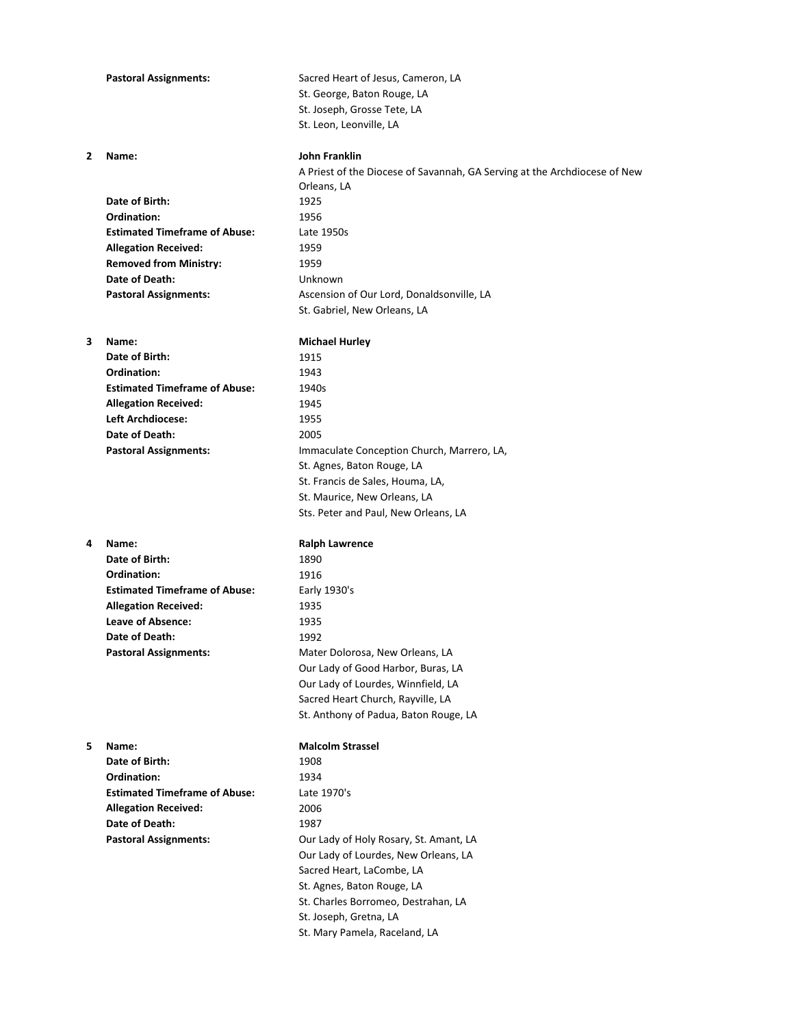|   | <b>Pastoral Assignments:</b>               | Sacred Heart of Jesus, Cameron, LA<br>St. George, Baton Rouge, LA<br>St. Joseph, Grosse Tete, LA<br>St. Leon, Leonville, LA |
|---|--------------------------------------------|-----------------------------------------------------------------------------------------------------------------------------|
| 2 | Name:                                      | <b>John Franklin</b><br>A Priest of the Diocese of Savannah, GA Serving at the Archdiocese of New<br>Orleans, LA            |
|   | Date of Birth:                             | 1925                                                                                                                        |
|   | Ordination:                                | 1956                                                                                                                        |
|   | <b>Estimated Timeframe of Abuse:</b>       | Late 1950s                                                                                                                  |
|   | <b>Allegation Received:</b>                | 1959                                                                                                                        |
|   | <b>Removed from Ministry:</b>              | 1959                                                                                                                        |
|   | Date of Death:                             | Unknown                                                                                                                     |
|   | <b>Pastoral Assignments:</b>               | Ascension of Our Lord, Donaldsonville, LA<br>St. Gabriel, New Orleans, LA                                                   |
| 3 | Name:                                      | <b>Michael Hurley</b>                                                                                                       |
|   | Date of Birth:                             | 1915                                                                                                                        |
|   | Ordination:                                | 1943                                                                                                                        |
|   | <b>Estimated Timeframe of Abuse:</b>       | 1940s                                                                                                                       |
|   | <b>Allegation Received:</b>                | 1945                                                                                                                        |
|   | <b>Left Archdiocese:</b><br>Date of Death: | 1955<br>2005                                                                                                                |
|   | <b>Pastoral Assignments:</b>               | Immaculate Conception Church, Marrero, LA,                                                                                  |
|   |                                            | St. Agnes, Baton Rouge, LA                                                                                                  |
|   |                                            | St. Francis de Sales, Houma, LA,                                                                                            |
|   |                                            | St. Maurice, New Orleans, LA                                                                                                |
|   |                                            | Sts. Peter and Paul, New Orleans, LA                                                                                        |
| 4 | Name:                                      | <b>Ralph Lawrence</b>                                                                                                       |
|   | Date of Birth:                             | 1890                                                                                                                        |
|   | Ordination:                                | 1916                                                                                                                        |
|   | <b>Estimated Timeframe of Abuse:</b>       | Early 1930's                                                                                                                |
|   | <b>Allegation Received:</b>                | 1935                                                                                                                        |
|   | Leave of Absence:                          | 1935                                                                                                                        |
|   | Date of Death:                             | 1992                                                                                                                        |
|   | <b>Pastoral Assignments:</b>               | Mater Dolorosa, New Orleans, LA<br>Our Lady of Good Harbor, Buras, LA                                                       |
|   |                                            |                                                                                                                             |
|   |                                            |                                                                                                                             |
|   |                                            | Our Lady of Lourdes, Winnfield, LA                                                                                          |
|   |                                            | Sacred Heart Church, Rayville, LA<br>St. Anthony of Padua, Baton Rouge, LA                                                  |
| 5 | Name:                                      | <b>Malcolm Strassel</b>                                                                                                     |
|   | Date of Birth:                             | 1908                                                                                                                        |
|   | Ordination:                                | 1934                                                                                                                        |
|   | <b>Estimated Timeframe of Abuse:</b>       | Late 1970's                                                                                                                 |
|   | <b>Allegation Received:</b>                | 2006                                                                                                                        |
|   | Date of Death:                             | 1987                                                                                                                        |
|   | <b>Pastoral Assignments:</b>               | Our Lady of Holy Rosary, St. Amant, LA                                                                                      |
|   |                                            | Our Lady of Lourdes, New Orleans, LA                                                                                        |
|   |                                            | Sacred Heart, LaCombe, LA                                                                                                   |
|   |                                            | St. Agnes, Baton Rouge, LA                                                                                                  |
|   |                                            | St. Charles Borromeo, Destrahan, LA<br>St. Joseph, Gretna, LA                                                               |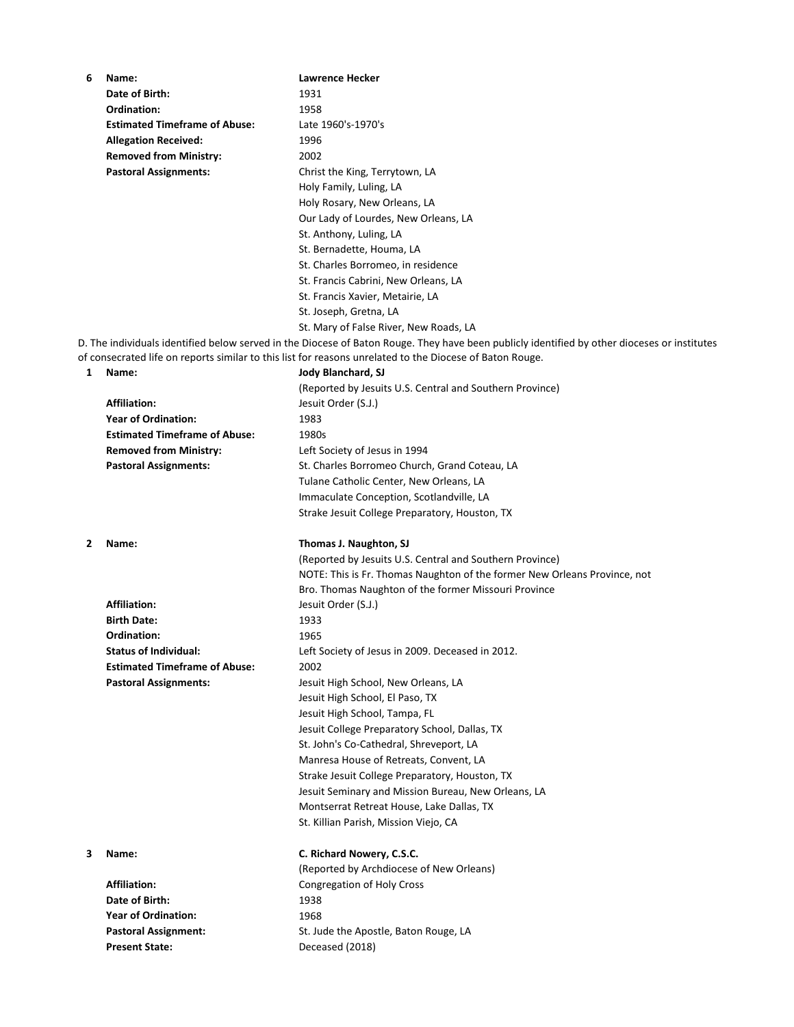| 6 | Name:                                | <b>Lawrence Hecker</b>                                                                                                                       |
|---|--------------------------------------|----------------------------------------------------------------------------------------------------------------------------------------------|
|   | Date of Birth:                       | 1931                                                                                                                                         |
|   | Ordination:                          | 1958                                                                                                                                         |
|   | <b>Estimated Timeframe of Abuse:</b> | Late 1960's-1970's                                                                                                                           |
|   | <b>Allegation Received:</b>          | 1996                                                                                                                                         |
|   | <b>Removed from Ministry:</b>        | 2002                                                                                                                                         |
|   | <b>Pastoral Assignments:</b>         | Christ the King, Terrytown, LA                                                                                                               |
|   |                                      | Holy Family, Luling, LA                                                                                                                      |
|   |                                      | Holy Rosary, New Orleans, LA                                                                                                                 |
|   |                                      | Our Lady of Lourdes, New Orleans, LA                                                                                                         |
|   |                                      | St. Anthony, Luling, LA                                                                                                                      |
|   |                                      | St. Bernadette, Houma, LA                                                                                                                    |
|   |                                      | St. Charles Borromeo, in residence                                                                                                           |
|   |                                      | St. Francis Cabrini, New Orleans, LA                                                                                                         |
|   |                                      | St. Francis Xavier, Metairie, LA                                                                                                             |
|   |                                      | St. Joseph, Gretna, LA                                                                                                                       |
|   |                                      | St. Mary of False River, New Roads, LA                                                                                                       |
|   |                                      | D. The individuals identified below served in the Diocese of Baton Rouge. They have been publicly identified by other dioceses or institutes |
|   |                                      | of consecrated life on reports similar to this list for reasons unrelated to the Diocese of Baton Rouge.                                     |
| 1 | Name:                                | Jody Blanchard, SJ                                                                                                                           |
|   |                                      | (Reported by Jesuits U.S. Central and Southern Province)                                                                                     |
|   | <b>Affiliation:</b>                  | Jesuit Order (S.J.)                                                                                                                          |
|   | <b>Year of Ordination:</b>           | 1983                                                                                                                                         |
|   |                                      |                                                                                                                                              |
|   | <b>Estimated Timeframe of Abuse:</b> | 1980s                                                                                                                                        |
|   | <b>Removed from Ministry:</b>        | Left Society of Jesus in 1994                                                                                                                |
|   | <b>Pastoral Assignments:</b>         | St. Charles Borromeo Church, Grand Coteau, LA                                                                                                |
|   |                                      | Tulane Catholic Center, New Orleans, LA                                                                                                      |
|   |                                      | Immaculate Conception, Scotlandville, LA                                                                                                     |
|   |                                      | Strake Jesuit College Preparatory, Houston, TX                                                                                               |
|   |                                      |                                                                                                                                              |
|   |                                      |                                                                                                                                              |
| 2 | Name:                                | Thomas J. Naughton, SJ                                                                                                                       |
|   |                                      | (Reported by Jesuits U.S. Central and Southern Province)                                                                                     |
|   |                                      | NOTE: This is Fr. Thomas Naughton of the former New Orleans Province, not                                                                    |
|   |                                      | Bro. Thomas Naughton of the former Missouri Province                                                                                         |
|   | <b>Affiliation:</b>                  | Jesuit Order (S.J.)                                                                                                                          |
|   | <b>Birth Date:</b>                   | 1933                                                                                                                                         |
|   | Ordination:                          | 1965                                                                                                                                         |
|   | <b>Status of Individual:</b>         | Left Society of Jesus in 2009. Deceased in 2012.                                                                                             |
|   | <b>Estimated Timeframe of Abuse:</b> | 2002                                                                                                                                         |
|   | <b>Pastoral Assignments:</b>         | Jesuit High School, New Orleans, LA                                                                                                          |
|   |                                      | Jesuit High School, El Paso, TX                                                                                                              |
|   |                                      | Jesuit High School, Tampa, FL                                                                                                                |
|   |                                      | Jesuit College Preparatory School, Dallas, TX                                                                                                |
|   |                                      | St. John's Co-Cathedral, Shreveport, LA                                                                                                      |
|   |                                      | Manresa House of Retreats, Convent, LA                                                                                                       |
|   |                                      | Strake Jesuit College Preparatory, Houston, TX                                                                                               |
|   |                                      | Jesuit Seminary and Mission Bureau, New Orleans, LA                                                                                          |
|   |                                      | Montserrat Retreat House, Lake Dallas, TX                                                                                                    |
|   |                                      | St. Killian Parish, Mission Viejo, CA                                                                                                        |
|   |                                      |                                                                                                                                              |
| з | Name:                                | C. Richard Nowery, C.S.C.                                                                                                                    |
|   |                                      | (Reported by Archdiocese of New Orleans)                                                                                                     |
|   | <b>Affiliation:</b>                  | Congregation of Holy Cross                                                                                                                   |
|   | Date of Birth:                       | 1938                                                                                                                                         |
|   | <b>Year of Ordination:</b>           | 1968                                                                                                                                         |
|   | <b>Pastoral Assignment:</b>          | St. Jude the Apostle, Baton Rouge, LA                                                                                                        |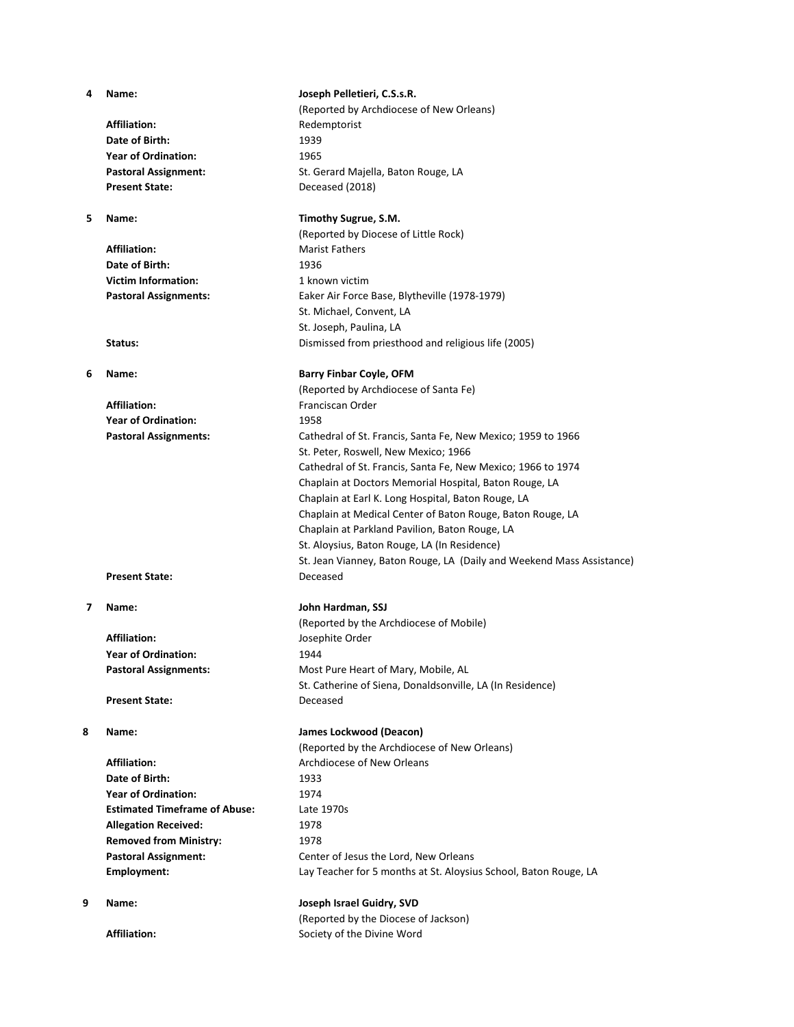Affiliation: Redemptorist **Date of Birth:** 1939 **Year of Ordination:** 1965 **Present State:** Deceased (2018)

Affiliation: Marist Fathers **Date of Birth:** 1936 **Victim Information:** 1 known victim

**Affiliation:** Franciscan Order **Year of Ordination:** 1958

Present State: Deceased

**Affiliation:** Josephite Order **Year of Ordination:** 1944

Present State: Deceased

Affiliation: **All Archdiocese of New Orleans Date of Birth:** 1933 **Year of Ordination:** 1974 **Estimated Timeframe of Abuse:** Late 1970s Allegation Received: 1978 **Removed from Ministry:** 1978

# **4 Name: Joseph Pelletieri, C.S.s.R.**

(Reported by Archdiocese of New Orleans) **Pastoral Assignment:** St. Gerard Majella, Baton Rouge, LA

### **5 Name: Timothy Sugrue, S.M.**

(Reported by Diocese of Little Rock) **Pastoral Assignments:** Eaker Air Force Base, Blytheville (1978-1979) St. Michael, Convent, LA St. Joseph, Paulina, LA **Status:** Dismissed from priesthood and religious life (2005)

# **6 Name: Barry Finbar Coyle, OFM**

(Reported by Archdiocese of Santa Fe) **Pastoral Assignments:** Cathedral of St. Francis, Santa Fe, New Mexico; 1959 to 1966 St. Peter, Roswell, New Mexico; 1966 Cathedral of St. Francis, Santa Fe, New Mexico; 1966 to 1974 Chaplain at Doctors Memorial Hospital, Baton Rouge, LA Chaplain at Earl K. Long Hospital, Baton Rouge, LA Chaplain at Medical Center of Baton Rouge, Baton Rouge, LA Chaplain at Parkland Pavilion, Baton Rouge, LA St. Aloysius, Baton Rouge, LA (In Residence) St. Jean Vianney, Baton Rouge, LA (Daily and Weekend Mass Assistance)

### **7 Name: John Hardman, SSJ**

(Reported by the Archdiocese of Mobile) Pastoral Assignments: Most Pure Heart of Mary, Mobile, AL St. Catherine of Siena, Donaldsonville, LA (In Residence)

### **8 Name: James Lockwood (Deacon)**

(Reported by the Archdiocese of New Orleans) Pastoral Assignment: Center of Jesus the Lord, New Orleans **Employment:** Lay Teacher for 5 months at St. Aloysius School, Baton Rouge, LA

# **9 Name: Joseph Israel Guidry, SVD**

(Reported by the Diocese of Jackson) Affiliation: **Affiliation:** Society of the Divine Word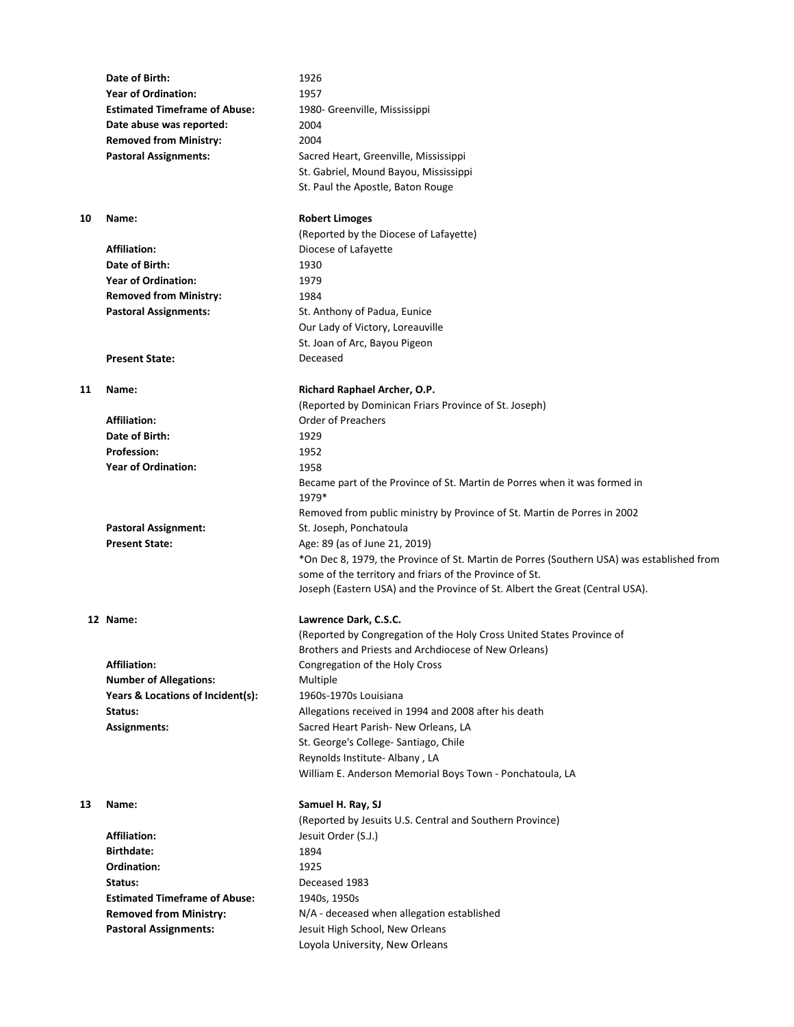|    | Date of Birth:                       | 1926                                                                                       |
|----|--------------------------------------|--------------------------------------------------------------------------------------------|
|    | <b>Year of Ordination:</b>           | 1957                                                                                       |
|    | <b>Estimated Timeframe of Abuse:</b> | 1980- Greenville, Mississippi                                                              |
|    | Date abuse was reported:             | 2004                                                                                       |
|    | <b>Removed from Ministry:</b>        | 2004                                                                                       |
|    | <b>Pastoral Assignments:</b>         | Sacred Heart, Greenville, Mississippi                                                      |
|    |                                      | St. Gabriel, Mound Bayou, Mississippi                                                      |
|    |                                      | St. Paul the Apostle, Baton Rouge                                                          |
| 10 | Name:                                | <b>Robert Limoges</b>                                                                      |
|    |                                      | (Reported by the Diocese of Lafayette)                                                     |
|    | <b>Affiliation:</b>                  | Diocese of Lafayette                                                                       |
|    | Date of Birth:                       | 1930                                                                                       |
|    | <b>Year of Ordination:</b>           | 1979                                                                                       |
|    | <b>Removed from Ministry:</b>        | 1984                                                                                       |
|    | <b>Pastoral Assignments:</b>         | St. Anthony of Padua, Eunice                                                               |
|    |                                      | Our Lady of Victory, Loreauville                                                           |
|    |                                      | St. Joan of Arc, Bayou Pigeon                                                              |
|    | <b>Present State:</b>                | Deceased                                                                                   |
| 11 | Name:                                | Richard Raphael Archer, O.P.                                                               |
|    |                                      | (Reported by Dominican Friars Province of St. Joseph)                                      |
|    | <b>Affiliation:</b>                  | <b>Order of Preachers</b>                                                                  |
|    | Date of Birth:                       | 1929                                                                                       |
|    | <b>Profession:</b>                   | 1952                                                                                       |
|    | <b>Year of Ordination:</b>           | 1958                                                                                       |
|    |                                      | Became part of the Province of St. Martin de Porres when it was formed in<br>1979*         |
|    |                                      | Removed from public ministry by Province of St. Martin de Porres in 2002                   |
|    | <b>Pastoral Assignment:</b>          | St. Joseph, Ponchatoula                                                                    |
|    | <b>Present State:</b>                | Age: 89 (as of June 21, 2019)                                                              |
|    |                                      | *On Dec 8, 1979, the Province of St. Martin de Porres (Southern USA) was established from  |
|    |                                      | some of the territory and friars of the Province of St.                                    |
|    |                                      | Joseph (Eastern USA) and the Province of St. Albert the Great (Central USA).               |
|    | 12 Name:                             | Lawrence Dark, C.S.C.                                                                      |
|    |                                      | (Reported by Congregation of the Holy Cross United States Province of                      |
|    |                                      | Brothers and Priests and Archdiocese of New Orleans)                                       |
|    | <b>Affiliation:</b>                  | Congregation of the Holy Cross                                                             |
|    | <b>Number of Allegations:</b>        | Multiple                                                                                   |
|    | Years & Locations of Incident(s):    | 1960s-1970s Louisiana                                                                      |
|    | Status:                              | Allegations received in 1994 and 2008 after his death                                      |
|    | <b>Assignments:</b>                  | Sacred Heart Parish- New Orleans, LA                                                       |
|    |                                      | St. George's College- Santiago, Chile                                                      |
|    |                                      | Reynolds Institute- Albany, LA<br>William E. Anderson Memorial Boys Town - Ponchatoula, LA |
|    |                                      |                                                                                            |
| 13 | Name:                                | Samuel H. Ray, SJ<br>(Reported by Jesuits U.S. Central and Southern Province)              |
|    | <b>Affiliation:</b>                  | Jesuit Order (S.J.)                                                                        |
|    | <b>Birthdate:</b>                    | 1894                                                                                       |
|    | Ordination:                          | 1925                                                                                       |
|    | Status:                              | Deceased 1983                                                                              |
|    | <b>Estimated Timeframe of Abuse:</b> | 1940s, 1950s                                                                               |
|    | <b>Removed from Ministry:</b>        | N/A - deceased when allegation established                                                 |
|    | <b>Pastoral Assignments:</b>         | Jesuit High School, New Orleans                                                            |
|    |                                      | Loyola University, New Orleans                                                             |
|    |                                      |                                                                                            |